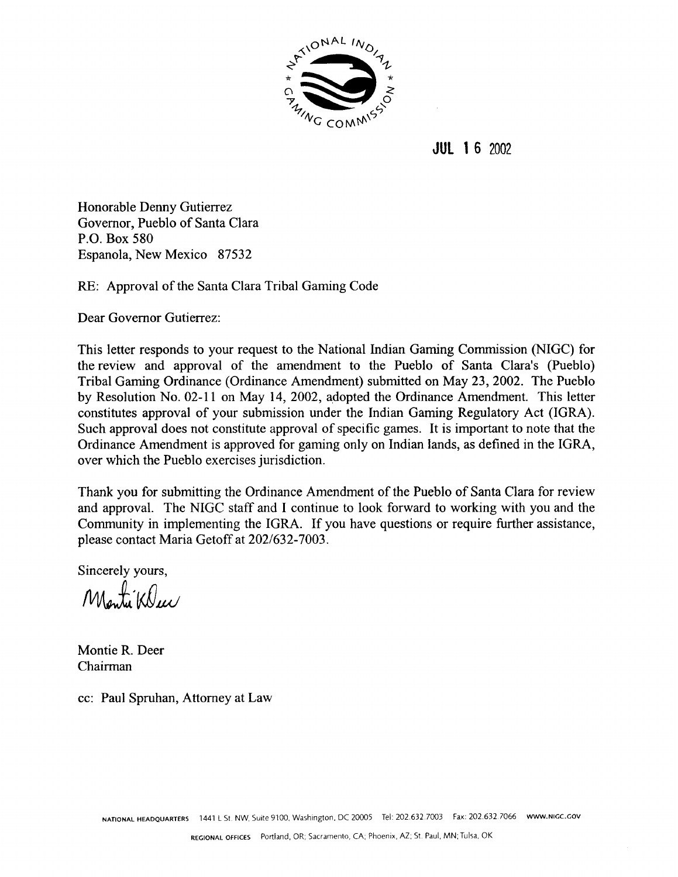

**JUL 16 2002** 

Honorable Denny Gutierrez Governor, Pueblo of Santa Clara P.O. Box 580 Espanola, New Mexico 87532

RE: Approval of the Santa Clara Tribal Gaming Code

Dear Governor Gutierrez:

This letter responds to your request to the National Indian Gaming Commission (NIGC) for the review and approval of the amendment to the Pueblo of Santa Clara's (Pueblo) Tribal Gaming Ordinance (Ordinance Amendment) submitted on May 23, 2002. The Pueblo by Resolution No. 02-11 on May 14, 2002, adopted the Ordinance Amendment. This letter constitutes approval of your submission under the Indian Gaming Regulatory Act (IGRA). Such approval does not constitute approval of specific games. It is important to note that the Ordinance Amendment is approved for gaming only on Indian lands, as defined in the IGRA, over which the Pueblo exercises jurisdiction.

Thank you for submitting the Ordinance Amendment of the Pueblo of Santa Clara for review and approval. The NIGC staff and I continue to look forward to working with you and the Community in implementing the IGRA. If you have questions or require further assistance, please contact Maria Getoff at 202/632-7003.

Sincerely yours,

Monti Klue

Montie R. Deer Chairman

cc: Paul Spruhan, Attorney at Law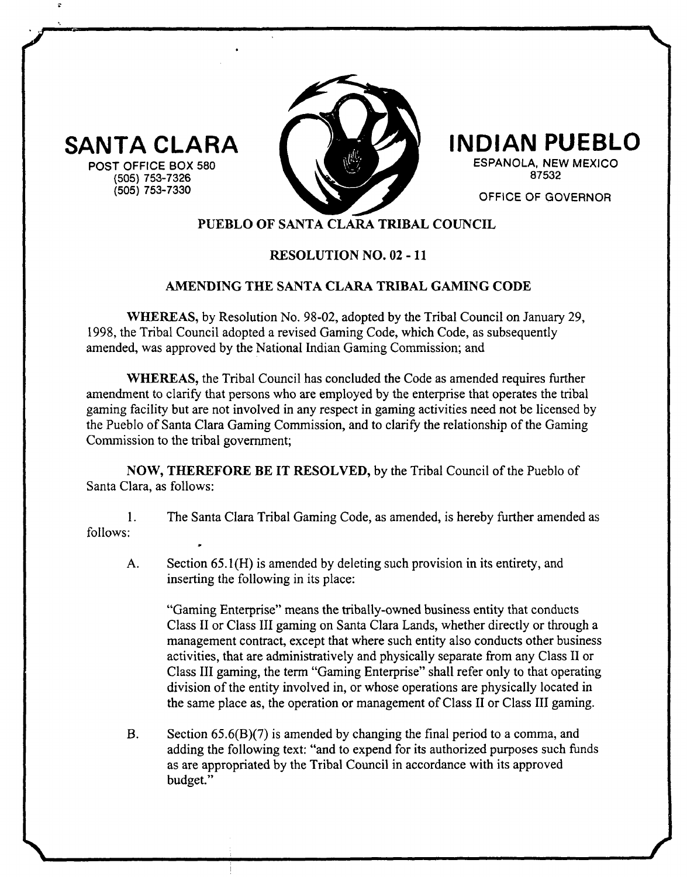**SANTA CLARA**

**POST OFFICE BOX 580 (505) 753-7326 (505) 753-7330**



# **INDIAN PUEBLO**

**ESPANOLA, NEW MEXICO 87532**

**OFFICE OF GOVERNOR**

**/**

# **PUEBLO OF SANTA CLARA TRIBAL COUNCIL**

## **RESOLUTION NO.02-li**

### **AMENDING THE SANTA CLARA TRIBAL GAMING CODE**

**WHEREAS, by Resolution No. 98-02, adopted by the Tribal Council on January 29, 1998, the Tribal Council adopted <sup>a</sup> revised Gaming Code, which Code, as subsequently amended, was approved by the National Indian Gaming Commission; and**

**WHEREAS, the Tribal Council has concluded the Code as amended requires further amendment to clarify that persons who are employed by the enterprise that operates the tribal gaming facility but are not involved in any respect in gaming activities need not be licensed by the Pueblo of Santa Clara Gaming Commission, and to clarify the relationship of the Gaming Commission to the tribal government;**

**NOW, THEREFORE BE IT RESOLVED, by the Tribal Council of the Pueblo of Santa Clara, as follows:**

 $1.$ **The Santa Clara Tribal Gaming Code, as amended, is hereby further amended as follows:**

**A. Section 65.1(H) is amended by deleting such provision in its entirety, and inserting the following in its place:**

**Gaming Enterprise means the tribally-owned business entity that conducts Class II or Class III gaming on Santa Clara Lands, whether directly or through <sup>a</sup> management contract, except that where such entity also conducts other business activities, that are administratively and physically separate from any Class II or Class III gaming, the term Gaming Enterprise shall refer only to that operating division of the entity involved in, or whose operations are physically located in the same place as, the operation or management of Class II or Class III gaming.**

**B. Section 65.6(B)(7) is amended by changing the final period to <sup>a</sup> comma, and adding the following text: and to expend for its authorized purposes such funds as are appropriated by the Tribal Council in accordance with its approved budget.**